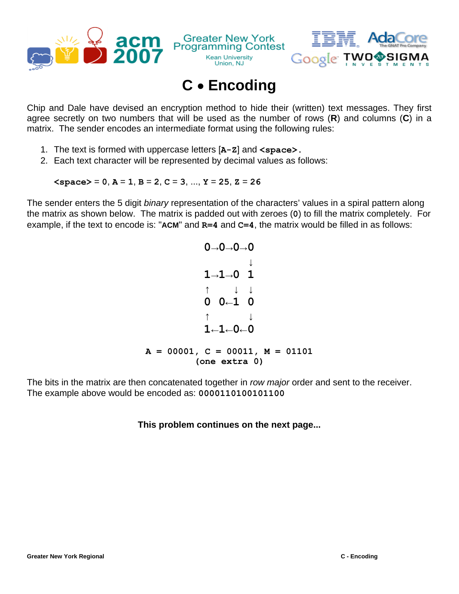



## **C** • **Encoding**

**Kean University** 

Union, NJ

Chip and Dale have devised an encryption method to hide their (written) text messages. They first agree secretly on two numbers that will be used as the number of rows (**R**) and columns (**C**) in a matrix. The sender encodes an intermediate format using the following rules:

- 1. The text is formed with uppercase letters [**A-Z**] and **<space>.**
- 2. Each text character will be represented by decimal values as follows:

 $\langle$ **space>** = 0, **A** = 1, **B** = 2, **C** = 3, ..., **Y** = 25, **Z** = 26

The sender enters the 5 digit *binary* representation of the characters' values in a spiral pattern along the matrix as shown below. The matrix is padded out with zeroes (**0**) to fill the matrix completely. For example, if the text to encode is: "**ACM**" and **R=4** and **C=4**, the matrix would be filled in as follows:

$$
0 \rightarrow 0 \rightarrow 0 \rightarrow 0
$$
\n
$$
1 \rightarrow 1 \rightarrow 0
$$
\n
$$
\uparrow \qquad \downarrow \qquad \downarrow
$$
\n
$$
\uparrow \qquad \downarrow \qquad \downarrow
$$
\n
$$
\uparrow \qquad \downarrow \qquad \downarrow
$$
\n
$$
1 \leftarrow 1 \leftarrow 0 \leftarrow 0
$$
\n
$$
\uparrow \qquad \downarrow
$$
\n
$$
1 \leftarrow 1 \leftarrow 0 \leftarrow 0
$$
\n
$$
\uparrow \qquad \downarrow
$$
\n
$$
\downarrow
$$
\n
$$
1 \leftarrow 1 \leftarrow 0 \leftarrow 0
$$
\n
$$
\uparrow \qquad \downarrow
$$
\n
$$
\downarrow
$$
\n
$$
\downarrow
$$
\n
$$
\downarrow
$$
\n
$$
\downarrow
$$
\n
$$
\downarrow
$$
\n
$$
\downarrow
$$
\n
$$
\downarrow
$$
\n
$$
\downarrow
$$
\n
$$
\downarrow
$$
\n
$$
\downarrow
$$
\n
$$
\downarrow
$$
\n
$$
\downarrow
$$
\n
$$
\downarrow
$$
\n
$$
\downarrow
$$
\n
$$
\downarrow
$$
\n
$$
\downarrow
$$
\n
$$
\downarrow
$$
\n
$$
\downarrow
$$
\n
$$
\downarrow
$$
\n
$$
\downarrow
$$
\n
$$
\downarrow
$$
\n
$$
\downarrow
$$
\n
$$
\downarrow
$$
\n
$$
\downarrow
$$
\n
$$
\downarrow
$$
\n
$$
\downarrow
$$
\n
$$
\downarrow
$$
\n
$$
\downarrow
$$
\n
$$
\downarrow
$$
\n
$$
\downarrow
$$
\n
$$
\downarrow
$$
\n
$$
\downarrow
$$
\n
$$
\downarrow
$$
\n
$$
\downarrow
$$
\n
$$
\downarrow
$$
\n
$$
\downarrow
$$
\n
$$
\downarrow
$$
\n
$$
\downarrow
$$
\n
$$
\downarrow
$$
\n
$$
\downarrow
$$
\n
$$
\downarrow
$$
\n
$$
\downarrow
$$
\n $$ 

The bits in the matrix are then concatenated together in *row major* order and sent to the receiver. The example above would be encoded as: **0000110100101100**

## **This problem continues on the next page...**